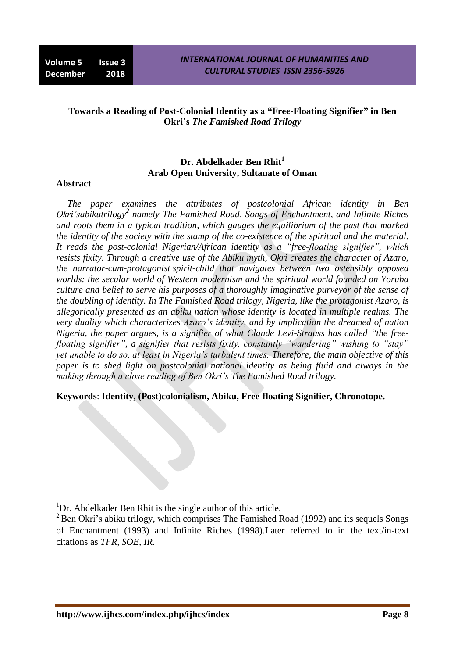## **Towards a Reading of Post-Colonial Identity as a "Free-Floating Signifier" in Ben Okri's** *The Famished Road Trilogy*

# **Dr. Abdelkader Ben Rhit<sup>1</sup> Arab Open University, Sultanate of Oman**

#### **Abstract**

*The paper examines the attributes of postcolonial African identity in Ben Okri'sabikutrilogy<sup>2</sup> namely The Famished Road, Songs of Enchantment, and Infinite Riches and roots them in a typical tradition, which gauges the equilibrium of the past that marked the identity of the society with the stamp of the co-existence of the spiritual and the material. It reads the post-colonial Nigerian/African identity as a "free-floating signifier", which resists fixity. Through a creative use of the Abiku myth, Okri creates the character of Azaro, the narrator-cum-protagonist spirit-child that navigates between two ostensibly opposed worlds: the secular world of Western modernism and the spiritual world founded on Yoruba culture and belief to serve his purposes of a thoroughly imaginative purveyor of the sense of the doubling of identity. In The Famished Road trilogy, Nigeria, like the protagonist Azaro, is allegorically presented as an abiku nation whose identity is located in multiple realms. The very duality which characterizes Azaro's identity, and by implication the dreamed of nation Nigeria, the paper argues, is a signifier of what Claude Levi-Strauss has called "the freefloating signifier", a signifier that resists fixity, constantly "wandering" wishing to "stay" yet unable to do so, at least in Nigeria's turbulent times. Therefore, the main objective of this paper is to shed light on postcolonial national identity as being fluid and always in the making through a close reading of Ben Okri's The Famished Road trilogy.*

#### **Keywords**: **Identity, (Post)colonialism, Abiku, Free-floating Signifier, Chronotope.**

 $1$ Dr. Abdelkader Ben Rhit is the single author of this article.

 $^{2}$ Ben Okri's abiku trilogy, which comprises The Famished Road (1992) and its sequels Songs of Enchantment (1993) and Infinite Riches (1998).Later referred to in the text/in-text citations as *TFR, SOE, IR*.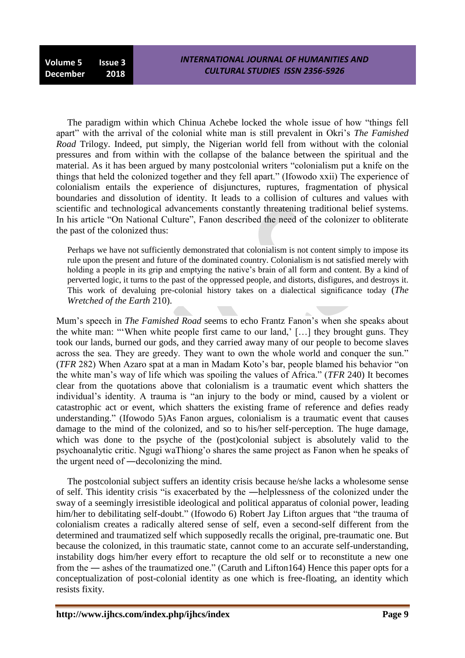The paradigm within which Chinua Achebe locked the whole issue of how "things fell apart" with the arrival of the colonial white man is still prevalent in Okri's *The Famished Road* Trilogy. Indeed, put simply, the Nigerian world fell from without with the colonial pressures and from within with the collapse of the balance between the spiritual and the material. As it has been argued by many postcolonial writers "colonialism put a knife on the things that held the colonized together and they fell apart." (Ifowodo xxii) The experience of colonialism entails the experience of disjunctures, ruptures, fragmentation of physical boundaries and dissolution of identity. It leads to a collision of cultures and values with scientific and technological advancements constantly threatening traditional belief systems. In his article "On National Culture", Fanon described the need of the colonizer to obliterate the past of the colonized thus:

Perhaps we have not sufficiently demonstrated that colonialism is not content simply to impose its rule upon the present and future of the dominated country. Colonialism is not satisfied merely with holding a people in its grip and emptying the native's brain of all form and content. By a kind of perverted logic, it turns to the past of the oppressed people, and distorts, disfigures, and destroys it. This work of devaluing pre-colonial history takes on a dialectical significance today (*The Wretched of the Earth* 210).

Mum"s speech in *The Famished Road* seems to echo Frantz Fanon"s when she speaks about the white man: ""When white people first came to our land," […] they brought guns. They took our lands, burned our gods, and they carried away many of our people to become slaves across the sea. They are greedy. They want to own the whole world and conquer the sun." (*TFR* 282) When Azaro spat at a man in Madam Koto"s bar, people blamed his behavior "on the white man"s way of life which was spoiling the values of Africa." (*TFR* 240) It becomes clear from the quotations above that colonialism is a traumatic event which shatters the individual"s identity. A trauma is "an injury to the body or mind, caused by a violent or catastrophic act or event, which shatters the existing frame of reference and defies ready understanding." (Ifowodo 5)As Fanon argues, colonialism is a traumatic event that causes damage to the mind of the colonized, and so to his/her self-perception. The huge damage, which was done to the psyche of the (post)colonial subject is absolutely valid to the psychoanalytic critic. Ngugi waThiong"o shares the same project as Fanon when he speaks of the urgent need of ―decolonizing the mind.

The postcolonial subject suffers an identity crisis because he/she lacks a wholesome sense of self. This identity crisis "is exacerbated by the ―helplessness of the colonized under the sway of a seemingly irresistible ideological and political apparatus of colonial power, leading him/her to debilitating self-doubt." (Ifowodo 6) Robert Jay Lifton argues that "the trauma of colonialism creates a radically altered sense of self, even a second-self different from the determined and traumatized self which supposedly recalls the original, pre-traumatic one. But because the colonized, in this traumatic state, cannot come to an accurate self-understanding, instability dogs him/her every effort to recapture the old self or to reconstitute a new one from the ― ashes of the traumatized one." (Caruth and Lifton164) Hence this paper opts for a conceptualization of post-colonial identity as one which is free-floating, an identity which resists fixity.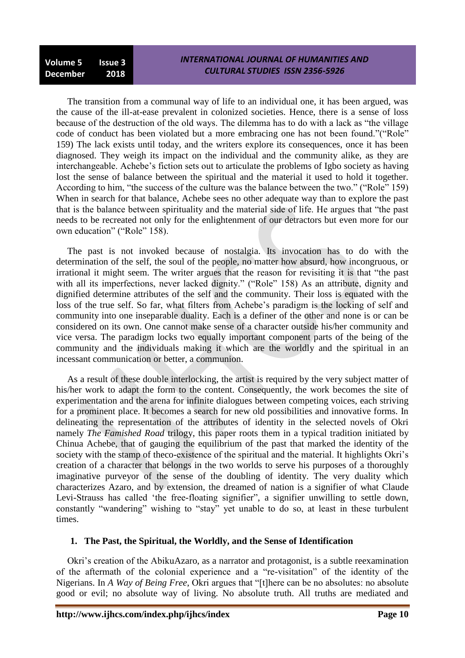The transition from a communal way of life to an individual one, it has been argued, was the cause of the ill-at-ease prevalent in colonized societies. Hence, there is a sense of loss because of the destruction of the old ways. The dilemma has to do with a lack as "the village code of conduct has been violated but a more embracing one has not been found."("Role" 159) The lack exists until today, and the writers explore its consequences, once it has been diagnosed. They weigh its impact on the individual and the community alike, as they are interchangeable. Achebe"s fiction sets out to articulate the problems of Igbo society as having lost the sense of balance between the spiritual and the material it used to hold it together. According to him, "the success of the culture was the balance between the two." ("Role" 159) When in search for that balance, Achebe sees no other adequate way than to explore the past that is the balance between spirituality and the material side of life. He argues that "the past needs to be recreated not only for the enlightenment of our detractors but even more for our own education" ("Role" 158).

The past is not invoked because of nostalgia. Its invocation has to do with the determination of the self, the soul of the people, no matter how absurd, how incongruous, or irrational it might seem. The writer argues that the reason for revisiting it is that "the past with all its imperfections, never lacked dignity." ("Role" 158) As an attribute, dignity and dignified determine attributes of the self and the community. Their loss is equated with the loss of the true self. So far, what filters from Achebe's paradigm is the locking of self and community into one inseparable duality. Each is a definer of the other and none is or can be considered on its own. One cannot make sense of a character outside his/her community and vice versa. The paradigm locks two equally important component parts of the being of the community and the individuals making it which are the worldly and the spiritual in an incessant communication or better, a communion.

As a result of these double interlocking, the artist is required by the very subject matter of his/her work to adapt the form to the content. Consequently, the work becomes the site of experimentation and the arena for infinite dialogues between competing voices, each striving for a prominent place. It becomes a search for new old possibilities and innovative forms. In delineating the representation of the attributes of identity in the selected novels of Okri namely *The Famished Road* trilogy, this paper roots them in a typical tradition initiated by Chinua Achebe, that of gauging the equilibrium of the past that marked the identity of the society with the stamp of the co-existence of the spiritual and the material. It highlights Okri's creation of a character that belongs in the two worlds to serve his purposes of a thoroughly imaginative purveyor of the sense of the doubling of identity. The very duality which characterizes Azaro, and by extension, the dreamed of nation is a signifier of what Claude Levi-Strauss has called "the free-floating signifier", a signifier unwilling to settle down, constantly "wandering" wishing to "stay" yet unable to do so, at least in these turbulent times.

## **1. The Past, the Spiritual, the Worldly, and the Sense of Identification**

Okri"s creation of the AbikuAzaro, as a narrator and protagonist, is a subtle reexamination of the aftermath of the colonial experience and a "re-visitation" of the identity of the Nigerians. In *A Way of Being Free*, Okri argues that "[t]here can be no absolutes: no absolute good or evil; no absolute way of living. No absolute truth. All truths are mediated and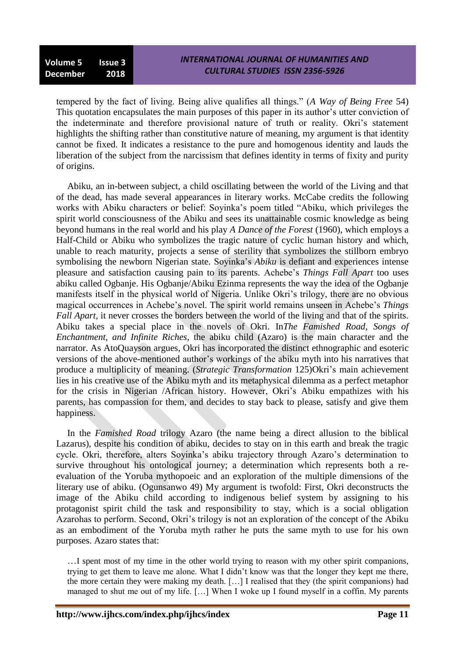tempered by the fact of living. Being alive qualifies all things." (*A Way of Being Free* 54) This quotation encapsulates the main purposes of this paper in its author"s utter conviction of the indeterminate and therefore provisional nature of truth or reality. Okri's statement highlights the shifting rather than constitutive nature of meaning, my argument is that identity cannot be fixed. It indicates a resistance to the pure and homogenous identity and lauds the liberation of the subject from the narcissism that defines identity in terms of fixity and purity of origins.

Abiku, an in-between subject, a child oscillating between the world of the Living and that of the dead, has made several appearances in literary works. McCabe credits the following works with Abiku characters or belief: Soyinka"s poem titled "Abiku, which privileges the spirit world consciousness of the Abiku and sees its unattainable cosmic knowledge as being beyond humans in the real world and his play *A Dance of the Forest* (1960), which employs a Half-Child or Abiku who symbolizes the tragic nature of cyclic human history and which, unable to reach maturity, projects a sense of sterility that symbolizes the stillborn embryo symbolising the newborn Nigerian state. Soyinka"s *Abiku* is defiant and experiences intense pleasure and satisfaction causing pain to its parents. Achebe"s *Things Fall Apart* too uses abiku called Ogbanje. His Ogbanje/Abiku Ezinma represents the way the idea of the Ogbanje manifests itself in the physical world of Nigeria. Unlike Okri"s trilogy, there are no obvious magical occurrences in Achebe's novel. The spirit world remains unseen in Achebe's *Things Fall Apart*, it never crosses the borders between the world of the living and that of the spirits. Abiku takes a special place in the novels of Okri. In*The Famished Road, Songs of Enchantment, and Infinite Riches*, the abiku child (Azaro) is the main character and the narrator. As AtoQuayson argues, Okri has incorporated the distinct ethnographic and esoteric versions of the above-mentioned author"s workings of the abiku myth into his narratives that produce a multiplicity of meaning. (*Strategic Transformation* 125)Okri"s main achievement lies in his creative use of the Abiku myth and its metaphysical dilemma as a perfect metaphor for the crisis in Nigerian /African history. However, Okri's Abiku empathizes with his parents, has compassion for them, and decides to stay back to please, satisfy and give them happiness.

In the *Famished Road* trilogy Azaro (the name being a direct allusion to the biblical Lazarus), despite his condition of abiku, decides to stay on in this earth and break the tragic cycle. Okri, therefore, alters Soyinka"s abiku trajectory through Azaro"s determination to survive throughout his ontological journey; a determination which represents both a reevaluation of the Yoruba mythopoeic and an exploration of the multiple dimensions of the literary use of abiku. (Ogunsanwo 49) My argument is twofold: First, Okri deconstructs the image of the Abiku child according to indigenous belief system by assigning to his protagonist spirit child the task and responsibility to stay, which is a social obligation Azarohas to perform. Second, Okri"s trilogy is not an exploration of the concept of the Abiku as an embodiment of the Yoruba myth rather he puts the same myth to use for his own purposes. Azaro states that:

…I spent most of my time in the other world trying to reason with my other spirit companions, trying to get them to leave me alone. What I didn"t know was that the longer they kept me there, the more certain they were making my death. […] I realised that they (the spirit companions) had managed to shut me out of my life. […] When I woke up I found myself in a coffin. My parents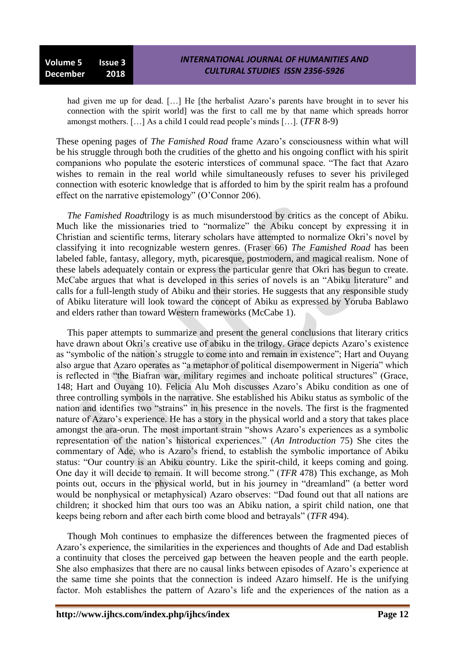had given me up for dead. [...] He [the herbalist Azaro's parents have brought in to sever his connection with the spirit world] was the first to call me by that name which spreads horror amongst mothers. […] As a child I could read people"s minds […]. (*TFR* 8-9)

These opening pages of *The Famished Road* frame Azaro's consciousness within what will be his struggle through both the crudities of the ghetto and his ongoing conflict with his spirit companions who populate the esoteric interstices of communal space. "The fact that Azaro wishes to remain in the real world while simultaneously refuses to sever his privileged connection with esoteric knowledge that is afforded to him by the spirit realm has a profound effect on the narrative epistemology" (O"Connor 206).

*The Famished Road*trilogy is as much misunderstood by critics as the concept of Abiku. Much like the missionaries tried to "normalize" the Abiku concept by expressing it in Christian and scientific terms, literary scholars have attempted to normalize Okri"s novel by classifying it into recognizable western genres. (Fraser 66) *The Famished Road* has been labeled fable, fantasy, allegory, myth, picaresque, postmodern, and magical realism. None of these labels adequately contain or express the particular genre that Okri has begun to create. McCabe argues that what is developed in this series of novels is an "Abiku literature" and calls for a full-length study of Abiku and their stories. He suggests that any responsible study of Abiku literature will look toward the concept of Abiku as expressed by Yoruba Bablawo and elders rather than toward Western frameworks (McCabe 1).

This paper attempts to summarize and present the general conclusions that literary critics have drawn about Okri's creative use of abiku in the trilogy. Grace depicts Azaro's existence as "symbolic of the nation"s struggle to come into and remain in existence"; Hart and Ouyang also argue that Azaro operates as "a metaphor of political disempowerment in Nigeria" which is reflected in "the Biafran war, military regimes and inchoate political structures" (Grace, 148; Hart and Ouyang 10). Felicia Alu Moh discusses Azaro"s Abiku condition as one of three controlling symbols in the narrative. She established his Abiku status as symbolic of the nation and identifies two "strains" in his presence in the novels. The first is the fragmented nature of Azaro's experience. He has a story in the physical world and a story that takes place amongst the ara-orun. The most important strain "shows Azaro's experiences as a symbolic representation of the nation"s historical experiences." (*An Introduction* 75) She cites the commentary of Ade, who is Azaro"s friend, to establish the symbolic importance of Abiku status: "Our country is an Abiku country. Like the spirit-child, it keeps coming and going. One day it will decide to remain. It will become strong." (*TFR* 478) This exchange, as Moh points out, occurs in the physical world, but in his journey in "dreamland" (a better word would be nonphysical or metaphysical) Azaro observes: "Dad found out that all nations are children; it shocked him that ours too was an Abiku nation, a spirit child nation, one that keeps being reborn and after each birth come blood and betrayals" (*TFR* 494).

Though Moh continues to emphasize the differences between the fragmented pieces of Azaro"s experience, the similarities in the experiences and thoughts of Ade and Dad establish a continuity that closes the perceived gap between the heaven people and the earth people. She also emphasizes that there are no causal links between episodes of Azaro"s experience at the same time she points that the connection is indeed Azaro himself. He is the unifying factor. Moh establishes the pattern of Azaro"s life and the experiences of the nation as a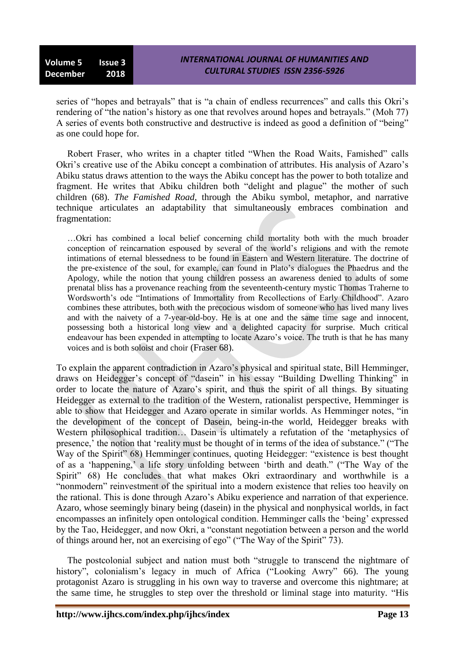series of "hopes and betrayals" that is "a chain of endless recurrences" and calls this Okri's rendering of "the nation's history as one that revolves around hopes and betrayals." (Moh 77) A series of events both constructive and destructive is indeed as good a definition of "being" as one could hope for.

Robert Fraser, who writes in a chapter titled "When the Road Waits, Famished" calls Okri's creative use of the Abiku concept a combination of attributes. His analysis of Azaro's Abiku status draws attention to the ways the Abiku concept has the power to both totalize and fragment. He writes that Abiku children both "delight and plague" the mother of such children (68). *The Famished Road*, through the Abiku symbol, metaphor, and narrative technique articulates an adaptability that simultaneously embraces combination and fragmentation:

…Okri has combined a local belief concerning child mortality both with the much broader conception of reincarnation espoused by several of the world"s religions and with the remote intimations of eternal blessedness to be found in Eastern and Western literature. The doctrine of the pre-existence of the soul, for example, can found in Plato"s dialogues the Phaedrus and the Apology, while the notion that young children possess an awareness denied to adults of some prenatal bliss has a provenance reaching from the seventeenth-century mystic Thomas Traherne to Wordsworth"s ode "Intimations of Immortality from Recollections of Early Childhood". Azaro combines these attributes, both with the precocious wisdom of someone who has lived many lives and with the naivety of a 7-year-old-boy. He is at one and the same time sage and innocent, possessing both a historical long view and a delighted capacity for surprise. Much critical endeavour has been expended in attempting to locate Azaro"s voice. The truth is that he has many voices and is both soloist and choir (Fraser 68).

To explain the apparent contradiction in Azaro"s physical and spiritual state, Bill Hemminger, draws on Heidegger"s concept of "dasein" in his essay "Building Dwelling Thinking" in order to locate the nature of Azaro"s spirit, and thus the spirit of all things. By situating Heidegger as external to the tradition of the Western, rationalist perspective, Hemminger is able to show that Heidegger and Azaro operate in similar worlds. As Hemminger notes, "in the development of the concept of Dasein, being-in-the world, Heidegger breaks with Western philosophical tradition... Dasein is ultimately a refutation of the 'metaphysics of presence,' the notion that 'reality must be thought of in terms of the idea of substance." ("The Way of the Spirit" 68) Hemminger continues, quoting Heidegger: "existence is best thought of as a "happening," a life story unfolding between "birth and death." ("The Way of the Spirit" 68) He concludes that what makes Okri extraordinary and worthwhile is a "nonmodern" reinvestment of the spiritual into a modern existence that relies too heavily on the rational. This is done through Azaro"s Abiku experience and narration of that experience. Azaro, whose seemingly binary being (dasein) in the physical and nonphysical worlds, in fact encompasses an infinitely open ontological condition. Hemminger calls the "being" expressed by the Tao, Heidegger, and now Okri, a "constant negotiation between a person and the world of things around her, not an exercising of ego" ("The Way of the Spirit" 73).

The postcolonial subject and nation must both "struggle to transcend the nightmare of history", colonialism's legacy in much of Africa ("Looking Awry" 66). The young protagonist Azaro is struggling in his own way to traverse and overcome this nightmare; at the same time, he struggles to step over the threshold or liminal stage into maturity. "His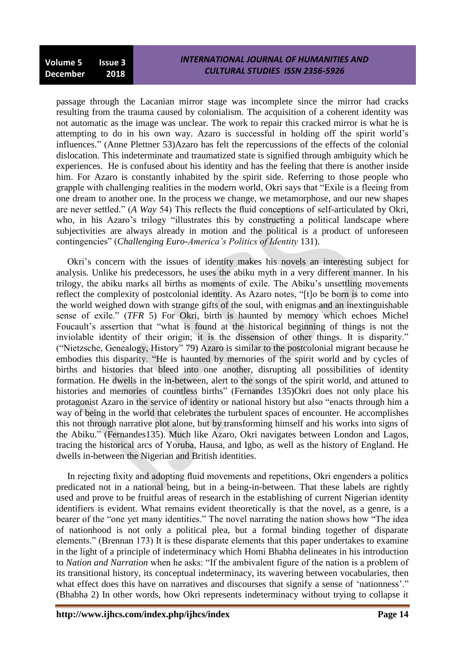passage through the Lacanian mirror stage was incomplete since the mirror had cracks resulting from the trauma caused by colonialism. The acquisition of a coherent identity was not automatic as the image was unclear. The work to repair this cracked mirror is what he is attempting to do in his own way. Azaro is successful in holding off the spirit world"s influences." (Anne Plettner 53)Azaro has felt the repercussions of the effects of the colonial dislocation. This indeterminate and traumatized state is signified through ambiguity which he experiences. He is confused about his identity and has the feeling that there is another inside him. For Azaro is constantly inhabited by the spirit side. Referring to those people who grapple with challenging realities in the modern world, Okri says that "Exile is a fleeing from one dream to another one. In the process we change, we metamorphose, and our new shapes are never settled." (*A Way* 54) This reflects the fluid conceptions of self-articulated by Okri, who, in his Azaro's trilogy "illustrates this by constructing a political landscape where subjectivities are always already in motion and the political is a product of unforeseen contingencies" (*Challenging Euro-America's Politics of Identity* 131).

Okri"s concern with the issues of identity makes his novels an interesting subject for analysis. Unlike his predecessors, he uses the abiku myth in a very different manner. In his trilogy, the abiku marks all births as moments of exile. The Abiku"s unsettling movements reflect the complexity of postcolonial identity. As Azaro notes, "[t]o be born is to come into the world weighed down with strange gifts of the soul, with enigmas and an inextinguishable sense of exile." (*TFR* 5) For Okri, birth is haunted by memory which echoes Michel Foucault's assertion that "what is found at the historical beginning of things is not the inviolable identity of their origin; it is the dissension of other things. It is disparity." ("Nietzsche, Genealogy, History" 79) Azaro is similar to the postcolonial migrant because he embodies this disparity. "He is haunted by memories of the spirit world and by cycles of births and histories that bleed into one another, disrupting all possibilities of identity formation. He dwells in the in-between, alert to the songs of the spirit world, and attuned to histories and memories of countless births" (Fernandes 135)Okri does not only place his protagonist Azaro in the service of identity or national history but also "enacts through him a way of being in the world that celebrates the turbulent spaces of encounter. He accomplishes this not through narrative plot alone, but by transforming himself and his works into signs of the Abiku." (Fernandes135). Much like Azaro, Okri navigates between London and Lagos, tracing the historical arcs of Yoruba, Hausa, and Igbo, as well as the history of England. He dwells in-between the Nigerian and British identities.

In rejecting fixity and adopting fluid movements and repetitions, Okri engenders a politics predicated not in a national being, but in a being-in-between. That these labels are rightly used and prove to be fruitful areas of research in the establishing of current Nigerian identity identifiers is evident. What remains evident theoretically is that the novel, as a genre, is a bearer of the "one yet many identities." The novel narrating the nation shows how "The idea of nationhood is not only a political plea, but a formal binding together of disparate elements." (Brennan 173) It is these disparate elements that this paper undertakes to examine in the light of a principle of indeterminacy which Homi Bhabha delineates in his introduction to *Nation and Narration* when he asks: "If the ambivalent figure of the nation is a problem of its transitional history, its conceptual indeterminacy, its wavering between vocabularies, then what effect does this have on narratives and discourses that signify a sense of 'nationness'." (Bhabha 2) In other words, how Okri represents indeterminacy without trying to collapse it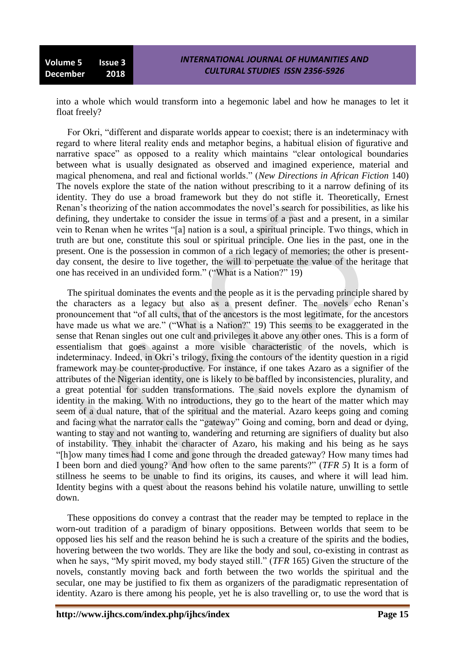into a whole which would transform into a hegemonic label and how he manages to let it float freely?

For Okri, "different and disparate worlds appear to coexist; there is an indeterminacy with regard to where literal reality ends and metaphor begins, a habitual elision of figurative and narrative space" as opposed to a reality which maintains "clear ontological boundaries between what is usually designated as observed and imagined experience, material and magical phenomena, and real and fictional worlds." (*New Directions in African Fiction* 140) The novels explore the state of the nation without prescribing to it a narrow defining of its identity. They do use a broad framework but they do not stifle it. Theoretically, Ernest Renan"s theorizing of the nation accommodates the novel"s search for possibilities, as like his defining, they undertake to consider the issue in terms of a past and a present, in a similar vein to Renan when he writes "[a] nation is a soul, a spiritual principle. Two things, which in truth are but one, constitute this soul or spiritual principle. One lies in the past, one in the present. One is the possession in common of a rich legacy of memories; the other is presentday consent, the desire to live together, the will to perpetuate the value of the heritage that one has received in an undivided form." ("What is a Nation?" 19)

The spiritual dominates the events and the people as it is the pervading principle shared by the characters as a legacy but also as a present definer. The novels echo Renan"s pronouncement that "of all cults, that of the ancestors is the most legitimate, for the ancestors have made us what we are." ("What is a Nation?" 19) This seems to be exaggerated in the sense that Renan singles out one cult and privileges it above any other ones. This is a form of essentialism that goes against a more visible characteristic of the novels, which is indeterminacy. Indeed, in Okri"s trilogy, fixing the contours of the identity question in a rigid framework may be counter-productive. For instance, if one takes Azaro as a signifier of the attributes of the Nigerian identity, one is likely to be baffled by inconsistencies, plurality, and a great potential for sudden transformations. The said novels explore the dynamism of identity in the making. With no introductions, they go to the heart of the matter which may seem of a dual nature, that of the spiritual and the material. Azaro keeps going and coming and facing what the narrator calls the "gateway" Going and coming, born and dead or dying, wanting to stay and not wanting to, wandering and returning are signifiers of duality but also of instability. They inhabit the character of Azaro, his making and his being as he says "[h]ow many times had I come and gone through the dreaded gateway? How many times had I been born and died young? And how often to the same parents?" (*TFR 5*) It is a form of stillness he seems to be unable to find its origins, its causes, and where it will lead him. Identity begins with a quest about the reasons behind his volatile nature, unwilling to settle down.

These oppositions do convey a contrast that the reader may be tempted to replace in the worn-out tradition of a paradigm of binary oppositions. Between worlds that seem to be opposed lies his self and the reason behind he is such a creature of the spirits and the bodies, hovering between the two worlds. They are like the body and soul, co-existing in contrast as when he says, "My spirit moved, my body stayed still." (*TFR* 165) Given the structure of the novels, constantly moving back and forth between the two worlds the spiritual and the secular, one may be justified to fix them as organizers of the paradigmatic representation of identity. Azaro is there among his people, yet he is also travelling or, to use the word that is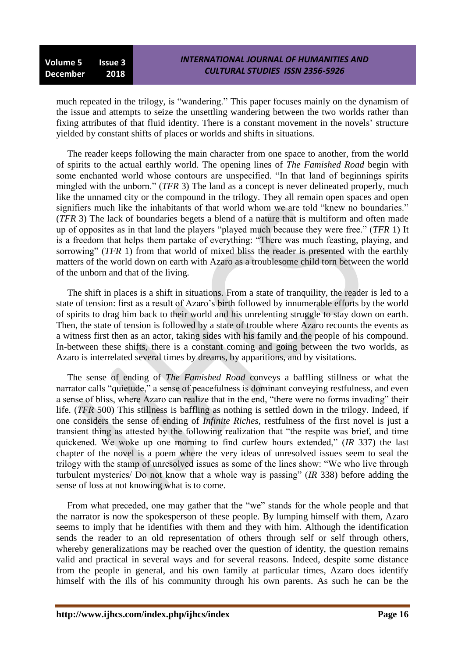much repeated in the trilogy, is "wandering." This paper focuses mainly on the dynamism of the issue and attempts to seize the unsettling wandering between the two worlds rather than fixing attributes of that fluid identity. There is a constant movement in the novels" structure yielded by constant shifts of places or worlds and shifts in situations.

The reader keeps following the main character from one space to another, from the world of spirits to the actual earthly world. The opening lines of *The Famished Road* begin with some enchanted world whose contours are unspecified. "In that land of beginnings spirits mingled with the unborn." (*TFR* 3) The land as a concept is never delineated properly, much like the unnamed city or the compound in the trilogy. They all remain open spaces and open signifiers much like the inhabitants of that world whom we are told "knew no boundaries." (*TFR* 3) The lack of boundaries begets a blend of a nature that is multiform and often made up of opposites as in that land the players "played much because they were free." (*TFR* 1) It is a freedom that helps them partake of everything: "There was much feasting, playing, and sorrowing" (*TFR* 1) from that world of mixed bliss the reader is presented with the earthly matters of the world down on earth with Azaro as a troublesome child torn between the world of the unborn and that of the living.

The shift in places is a shift in situations. From a state of tranquility, the reader is led to a state of tension: first as a result of Azaro"s birth followed by innumerable efforts by the world of spirits to drag him back to their world and his unrelenting struggle to stay down on earth. Then, the state of tension is followed by a state of trouble where Azaro recounts the events as a witness first then as an actor, taking sides with his family and the people of his compound. In-between these shifts, there is a constant coming and going between the two worlds, as Azaro is interrelated several times by dreams, by apparitions, and by visitations.

The sense of ending of *The Famished Road* conveys a baffling stillness or what the narrator calls "quietude," a sense of peacefulness is dominant conveying restfulness, and even a sense of bliss, where Azaro can realize that in the end, "there were no forms invading" their life. (*TFR* 500) This stillness is baffling as nothing is settled down in the trilogy. Indeed, if one considers the sense of ending of *Infinite Riches,* restfulness of the first novel is just a transient thing as attested by the following realization that "the respite was brief, and time quickened. We woke up one morning to find curfew hours extended," (*IR* 337) the last chapter of the novel is a poem where the very ideas of unresolved issues seem to seal the trilogy with the stamp of unresolved issues as some of the lines show: "We who live through turbulent mysteries/ Do not know that a whole way is passing" (*IR* 338) before adding the sense of loss at not knowing what is to come.

From what preceded, one may gather that the "we" stands for the whole people and that the narrator is now the spokesperson of these people. By lumping himself with them, Azaro seems to imply that he identifies with them and they with him. Although the identification sends the reader to an old representation of others through self or self through others, whereby generalizations may be reached over the question of identity, the question remains valid and practical in several ways and for several reasons. Indeed, despite some distance from the people in general, and his own family at particular times, Azaro does identify himself with the ills of his community through his own parents. As such he can be the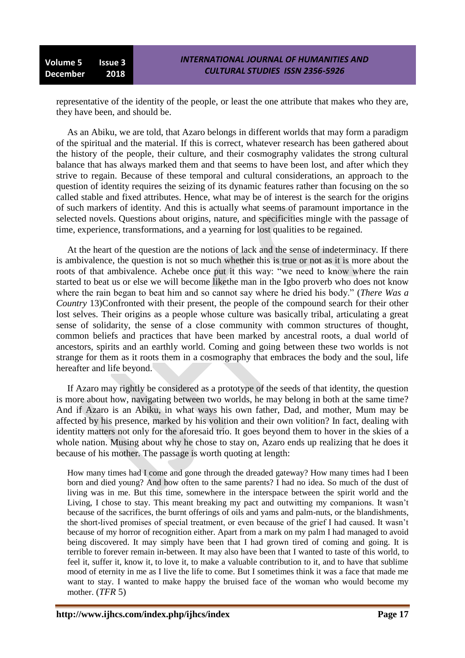representative of the identity of the people, or least the one attribute that makes who they are, they have been, and should be.

As an Abiku, we are told, that Azaro belongs in different worlds that may form a paradigm of the spiritual and the material. If this is correct, whatever research has been gathered about the history of the people, their culture, and their cosmography validates the strong cultural balance that has always marked them and that seems to have been lost, and after which they strive to regain. Because of these temporal and cultural considerations, an approach to the question of identity requires the seizing of its dynamic features rather than focusing on the so called stable and fixed attributes. Hence, what may be of interest is the search for the origins of such markers of identity. And this is actually what seems of paramount importance in the selected novels. Questions about origins, nature, and specificities mingle with the passage of time, experience, transformations, and a yearning for lost qualities to be regained.

At the heart of the question are the notions of lack and the sense of indeterminacy. If there is ambivalence, the question is not so much whether this is true or not as it is more about the roots of that ambivalence. Achebe once put it this way: "we need to know where the rain started to beat us or else we will become likethe man in the Igbo proverb who does not know where the rain began to beat him and so cannot say where he dried his body." (*There Was a Country* 13)Confronted with their present, the people of the compound search for their other lost selves. Their origins as a people whose culture was basically tribal, articulating a great sense of solidarity, the sense of a close community with common structures of thought, common beliefs and practices that have been marked by ancestral roots, a dual world of ancestors, spirits and an earthly world. Coming and going between these two worlds is not strange for them as it roots them in a cosmography that embraces the body and the soul, life hereafter and life beyond.

If Azaro may rightly be considered as a prototype of the seeds of that identity, the question is more about how, navigating between two worlds, he may belong in both at the same time? And if Azaro is an Abiku, in what ways his own father, Dad, and mother, Mum may be affected by his presence, marked by his volition and their own volition? In fact, dealing with identity matters not only for the aforesaid trio. It goes beyond them to hover in the skies of a whole nation. Musing about why he chose to stay on, Azaro ends up realizing that he does it because of his mother. The passage is worth quoting at length:

How many times had I come and gone through the dreaded gateway? How many times had I been born and died young? And how often to the same parents? I had no idea. So much of the dust of living was in me. But this time, somewhere in the interspace between the spirit world and the Living, I chose to stay. This meant breaking my pact and outwitting my companions. It wasn"t because of the sacrifices, the burnt offerings of oils and yams and palm-nuts, or the blandishments, the short-lived promises of special treatment, or even because of the grief I had caused. It wasn"t because of my horror of recognition either. Apart from a mark on my palm I had managed to avoid being discovered. It may simply have been that I had grown tired of coming and going. It is terrible to forever remain in-between. It may also have been that I wanted to taste of this world, to feel it, suffer it, know it, to love it, to make a valuable contribution to it, and to have that sublime mood of eternity in me as I live the life to come. But I sometimes think it was a face that made me want to stay. I wanted to make happy the bruised face of the woman who would become my mother. (*TFR* 5)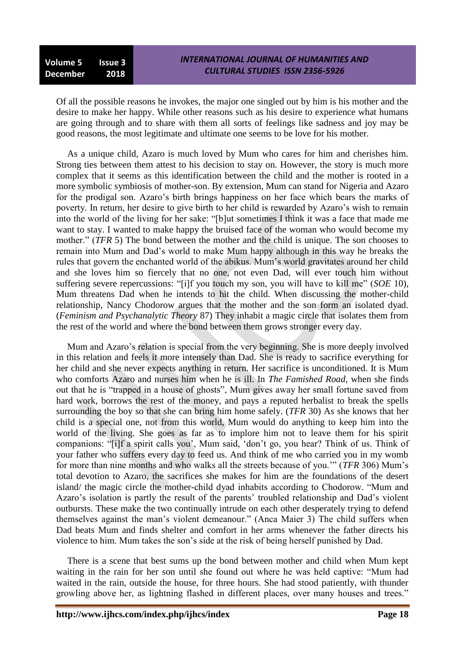**Volume 5 Issue 3 December 2018**

Of all the possible reasons he invokes, the major one singled out by him is his mother and the desire to make her happy. While other reasons such as his desire to experience what humans are going through and to share with them all sorts of feelings like sadness and joy may be good reasons, the most legitimate and ultimate one seems to be love for his mother.

As a unique child, Azaro is much loved by Mum who cares for him and cherishes him. Strong ties between them attest to his decision to stay on. However, the story is much more complex that it seems as this identification between the child and the mother is rooted in a more symbolic symbiosis of mother-son. By extension, Mum can stand for Nigeria and Azaro for the prodigal son. Azaro"s birth brings happiness on her face which bears the marks of poverty. In return, her desire to give birth to her child is rewarded by Azaro"s wish to remain into the world of the living for her sake: "[b]ut sometimes I think it was a face that made me want to stay. I wanted to make happy the bruised face of the woman who would become my mother." (*TFR* 5) The bond between the mother and the child is unique. The son chooses to remain into Mum and Dad"s world to make Mum happy although in this way he breaks the rules that govern the enchanted world of the abikus. Mum"s world gravitates around her child and she loves him so fiercely that no one, not even Dad, will ever touch him without suffering severe repercussions: "[i]f you touch my son, you will have to kill me" (*SOE* 10), Mum threatens Dad when he intends to hit the child. When discussing the mother-child relationship, Nancy Chodorow argues that the mother and the son form an isolated dyad. (*Feminism and Psychanalytic Theory* 87) They inhabit a magic circle that isolates them from the rest of the world and where the bond between them grows stronger every day.

Mum and Azaro"s relation is special from the very beginning. She is more deeply involved in this relation and feels it more intensely than Dad. She is ready to sacrifice everything for her child and she never expects anything in return. Her sacrifice is unconditioned. It is Mum who comforts Azaro and nurses him when he is ill. In *The Famished Road*, when she finds out that he is "trapped in a house of ghosts", Mum gives away her small fortune saved from hard work, borrows the rest of the money, and pays a reputed herbalist to break the spells surrounding the boy so that she can bring him home safely. (*TFR* 30) As she knows that her child is a special one, not from this world, Mum would do anything to keep him into the world of the living. She goes as far as to implore him not to leave them for his spirit companions: "[i]f a spirit calls you", Mum said, "don"t go, you hear? Think of us. Think of your father who suffers every day to feed us. And think of me who carried you in my womb for more than nine months and who walks all the streets because of you."" (*TFR* 306) Mum"s total devotion to Azaro, the sacrifices she makes for him are the foundations of the desert island/ the magic circle the mother-child dyad inhabits according to Chodorow. "Mum and Azaro's isolation is partly the result of the parents' troubled relationship and Dad's violent outbursts. These make the two continually intrude on each other desperately trying to defend themselves against the man"s violent demeanour." (Anca Maier 3) The child suffers when Dad beats Mum and finds shelter and comfort in her arms whenever the father directs his violence to him. Mum takes the son"s side at the risk of being herself punished by Dad.

There is a scene that best sums up the bond between mother and child when Mum kept waiting in the rain for her son until she found out where he was held captive: "Mum had waited in the rain, outside the house, for three hours. She had stood patiently, with thunder growling above her, as lightning flashed in different places, over many houses and trees."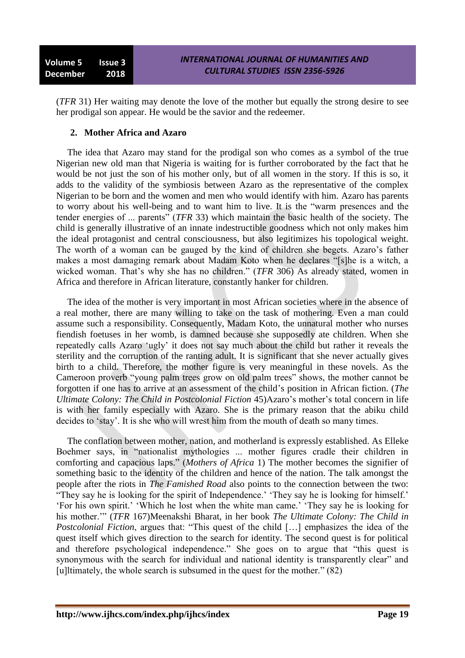(*TFR* 31) Her waiting may denote the love of the mother but equally the strong desire to see her prodigal son appear. He would be the savior and the redeemer.

## **2. Mother Africa and Azaro**

The idea that Azaro may stand for the prodigal son who comes as a symbol of the true Nigerian new old man that Nigeria is waiting for is further corroborated by the fact that he would be not just the son of his mother only, but of all women in the story. If this is so, it adds to the validity of the symbiosis between Azaro as the representative of the complex Nigerian to be born and the women and men who would identify with him. Azaro has parents to worry about his well-being and to want him to live. It is the "warm presences and the tender energies of ... parents" (*TFR* 33) which maintain the basic health of the society. The child is generally illustrative of an innate indestructible goodness which not only makes him the ideal protagonist and central consciousness, but also legitimizes his topological weight. The worth of a woman can be gauged by the kind of children she begets. Azaro"s father makes a most damaging remark about Madam Koto when he declares "[s]he is a witch, a wicked woman. That's why she has no children." (*TFR* 306) As already stated, women in Africa and therefore in African literature, constantly hanker for children.

The idea of the mother is very important in most African societies where in the absence of a real mother, there are many willing to take on the task of mothering. Even a man could assume such a responsibility. Consequently, Madam Koto, the unnatural mother who nurses fiendish foetuses in her womb, is damned because she supposedly ate children. When she repeatedly calls Azaro "ugly" it does not say much about the child but rather it reveals the sterility and the corruption of the ranting adult. It is significant that she never actually gives birth to a child. Therefore, the mother figure is very meaningful in these novels. As the Cameroon proverb "young palm trees grow on old palm trees" shows, the mother cannot be forgotten if one has to arrive at an assessment of the child"s position in African fiction. (*The Ultimate Colony: The Child in Postcolonial Fiction* 45)Azaro"s mother"s total concern in life is with her family especially with Azaro. She is the primary reason that the abiku child decides to "stay". It is she who will wrest him from the mouth of death so many times.

The conflation between mother, nation, and motherland is expressly established. As Elleke Boehmer says, in "nationalist mythologies ... mother figures cradle their children in comforting and capacious laps." (*Mothers of Africa* 1) The mother becomes the signifier of something basic to the identity of the children and hence of the nation. The talk amongst the people after the riots in *The Famished Road* also points to the connection between the two: "They say he is looking for the spirit of Independence.' 'They say he is looking for himself.' "For his own spirit." "Which he lost when the white man came." "They say he is looking for his mother."" (*TFR* 167)Meenakshi Bharat, in her book *The Ultimate Colony: The Child in Postcolonial Fiction*, argues that: "This quest of the child [...] emphasizes the idea of the quest itself which gives direction to the search for identity. The second quest is for political and therefore psychological independence." She goes on to argue that "this quest is synonymous with the search for individual and national identity is transparently clear" and [u]ltimately, the whole search is subsumed in the quest for the mother." (82)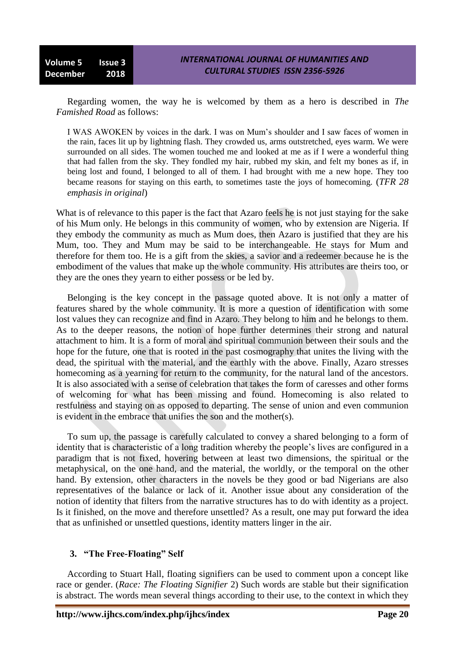Regarding women, the way he is welcomed by them as a hero is described in *The Famished Road* as follows:

I WAS AWOKEN by voices in the dark. I was on Mum"s shoulder and I saw faces of women in the rain, faces lit up by lightning flash. They crowded us, arms outstretched, eyes warm. We were surrounded on all sides. The women touched me and looked at me as if I were a wonderful thing that had fallen from the sky. They fondled my hair, rubbed my skin, and felt my bones as if, in being lost and found, I belonged to all of them. I had brought with me a new hope. They too became reasons for staying on this earth, to sometimes taste the joys of homecoming. (*TFR 28 emphasis in original*)

What is of relevance to this paper is the fact that Azaro feels he is not just staying for the sake of his Mum only. He belongs in this community of women, who by extension are Nigeria. If they embody the community as much as Mum does, then Azaro is justified that they are his Mum, too. They and Mum may be said to be interchangeable. He stays for Mum and therefore for them too. He is a gift from the skies, a savior and a redeemer because he is the embodiment of the values that make up the whole community. His attributes are theirs too, or they are the ones they yearn to either possess or be led by.

Belonging is the key concept in the passage quoted above. It is not only a matter of features shared by the whole community. It is more a question of identification with some lost values they can recognize and find in Azaro. They belong to him and he belongs to them. As to the deeper reasons, the notion of hope further determines their strong and natural attachment to him. It is a form of moral and spiritual communion between their souls and the hope for the future, one that is rooted in the past cosmography that unites the living with the dead, the spiritual with the material, and the earthly with the above. Finally, Azaro stresses homecoming as a yearning for return to the community, for the natural land of the ancestors. It is also associated with a sense of celebration that takes the form of caresses and other forms of welcoming for what has been missing and found. Homecoming is also related to restfulness and staying on as opposed to departing. The sense of union and even communion is evident in the embrace that unifies the son and the mother(s).

To sum up, the passage is carefully calculated to convey a shared belonging to a form of identity that is characteristic of a long tradition whereby the people"s lives are configured in a paradigm that is not fixed, hovering between at least two dimensions, the spiritual or the metaphysical, on the one hand, and the material, the worldly, or the temporal on the other hand. By extension, other characters in the novels be they good or bad Nigerians are also representatives of the balance or lack of it. Another issue about any consideration of the notion of identity that filters from the narrative structures has to do with identity as a project. Is it finished, on the move and therefore unsettled? As a result, one may put forward the idea that as unfinished or unsettled questions, identity matters linger in the air.

## **3. "The Free-Floating" Self**

According to Stuart Hall, floating signifiers can be used to comment upon a concept like race or gender. (*Race: The Floating Signifier* 2) Such words are stable but their signification is abstract. The words mean several things according to their use, to the context in which they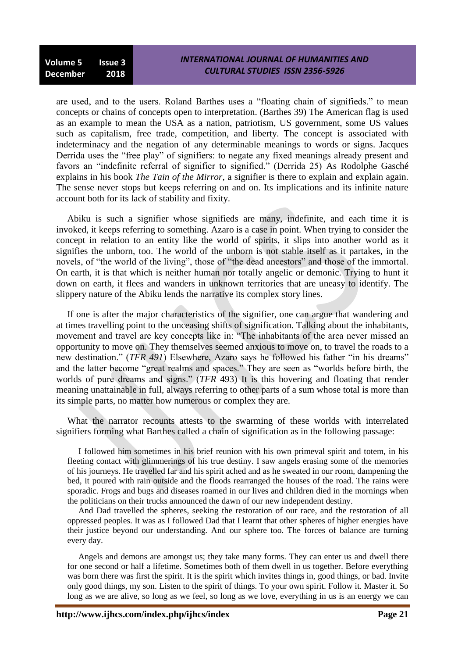are used, and to the users. Roland Barthes uses a "floating chain of signifieds." to mean concepts or chains of concepts open to interpretation. (Barthes 39) The American flag is used as an example to mean the USA as a nation, patriotism, US government, some US values such as capitalism, free trade, competition, and liberty. The concept is associated with indeterminacy and the negation of any determinable meanings to words or signs. Jacques Derrida uses the "free play" of signifiers: to negate any fixed meanings already present and favors an "indefinite referral of signifier to signified." (Derrida 25) As Rodolphe Gasché explains in his book *The Tain of the Mirror*, a signifier is there to explain and explain again. The sense never stops but keeps referring on and on. Its implications and its infinite nature account both for its lack of stability and fixity.

Abiku is such a signifier whose signifieds are many, indefinite, and each time it is invoked, it keeps referring to something. Azaro is a case in point. When trying to consider the concept in relation to an entity like the world of spirits, it slips into another world as it signifies the unborn, too. The world of the unborn is not stable itself as it partakes, in the novels, of "the world of the living", those of "the dead ancestors" and those of the immortal. On earth, it is that which is neither human nor totally angelic or demonic. Trying to hunt it down on earth, it flees and wanders in unknown territories that are uneasy to identify. The slippery nature of the Abiku lends the narrative its complex story lines.

If one is after the major characteristics of the signifier, one can argue that wandering and at times travelling point to the unceasing shifts of signification. Talking about the inhabitants, movement and travel are key concepts like in: "The inhabitants of the area never missed an opportunity to move on. They themselves seemed anxious to move on, to travel the roads to a new destination." (*TFR 491*) Elsewhere, Azaro says he followed his father "in his dreams" and the latter become "great realms and spaces." They are seen as "worlds before birth, the worlds of pure dreams and signs." (*TFR* 493) It is this hovering and floating that render meaning unattainable in full, always referring to other parts of a sum whose total is more than its simple parts, no matter how numerous or complex they are.

What the narrator recounts attests to the swarming of these worlds with interrelated signifiers forming what Barthes called a chain of signification as in the following passage:

I followed him sometimes in his brief reunion with his own primeval spirit and totem, in his fleeting contact with glimmerings of his true destiny. I saw angels erasing some of the memories of his journeys. He travelled far and his spirit ached and as he sweated in our room, dampening the bed, it poured with rain outside and the floods rearranged the houses of the road. The rains were sporadic. Frogs and bugs and diseases roamed in our lives and children died in the mornings when the politicians on their trucks announced the dawn of our new independent destiny.

And Dad travelled the spheres, seeking the restoration of our race, and the restoration of all oppressed peoples. It was as I followed Dad that I learnt that other spheres of higher energies have their justice beyond our understanding. And our sphere too. The forces of balance are turning every day.

Angels and demons are amongst us; they take many forms. They can enter us and dwell there for one second or half a lifetime. Sometimes both of them dwell in us together. Before everything was born there was first the spirit. It is the spirit which invites things in, good things, or bad. Invite only good things, my son. Listen to the spirit of things. To your own spirit. Follow it. Master it. So long as we are alive, so long as we feel, so long as we love, everything in us is an energy we can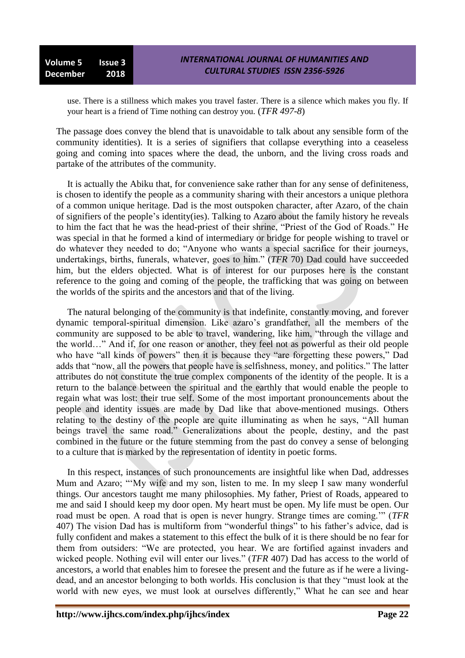use. There is a stillness which makes you travel faster. There is a silence which makes you fly. If your heart is a friend of Time nothing can destroy you. (*TFR 497-8*)

The passage does convey the blend that is unavoidable to talk about any sensible form of the community identities). It is a series of signifiers that collapse everything into a ceaseless going and coming into spaces where the dead, the unborn, and the living cross roads and partake of the attributes of the community.

It is actually the Abiku that, for convenience sake rather than for any sense of definiteness, is chosen to identify the people as a community sharing with their ancestors a unique plethora of a common unique heritage. Dad is the most outspoken character, after Azaro, of the chain of signifiers of the people"s identity(ies). Talking to Azaro about the family history he reveals to him the fact that he was the head-priest of their shrine, "Priest of the God of Roads." He was special in that he formed a kind of intermediary or bridge for people wishing to travel or do whatever they needed to do; "Anyone who wants a special sacrifice for their journeys, undertakings, births, funerals, whatever, goes to him." (*TFR* 70) Dad could have succeeded him, but the elders objected. What is of interest for our purposes here is the constant reference to the going and coming of the people, the trafficking that was going on between the worlds of the spirits and the ancestors and that of the living.

The natural belonging of the community is that indefinite, constantly moving, and forever dynamic temporal-spiritual dimension. Like azaro"s grandfather, all the members of the community are supposed to be able to travel, wandering, like him, "through the village and the world…" And if, for one reason or another, they feel not as powerful as their old people who have "all kinds of powers" then it is because they "are forgetting these powers," Dad adds that "now, all the powers that people have is selfishness, money, and politics." The latter attributes do not constitute the true complex components of the identity of the people. It is a return to the balance between the spiritual and the earthly that would enable the people to regain what was lost: their true self. Some of the most important pronouncements about the people and identity issues are made by Dad like that above-mentioned musings. Others relating to the destiny of the people are quite illuminating as when he says, "All human beings travel the same road." Generalizations about the people, destiny, and the past combined in the future or the future stemming from the past do convey a sense of belonging to a culture that is marked by the representation of identity in poetic forms.

In this respect, instances of such pronouncements are insightful like when Dad, addresses Mum and Azaro; ""My wife and my son, listen to me. In my sleep I saw many wonderful things. Our ancestors taught me many philosophies. My father, Priest of Roads, appeared to me and said I should keep my door open. My heart must be open. My life must be open. Our road must be open. A road that is open is never hungry. Strange times are coming."" (*TFR* 407) The vision Dad has is multiform from "wonderful things" to his father"s advice, dad is fully confident and makes a statement to this effect the bulk of it is there should be no fear for them from outsiders: "We are protected, you hear. We are fortified against invaders and wicked people. Nothing evil will enter our lives." (*TFR* 407) Dad has access to the world of ancestors, a world that enables him to foresee the present and the future as if he were a livingdead, and an ancestor belonging to both worlds. His conclusion is that they "must look at the world with new eyes, we must look at ourselves differently," What he can see and hear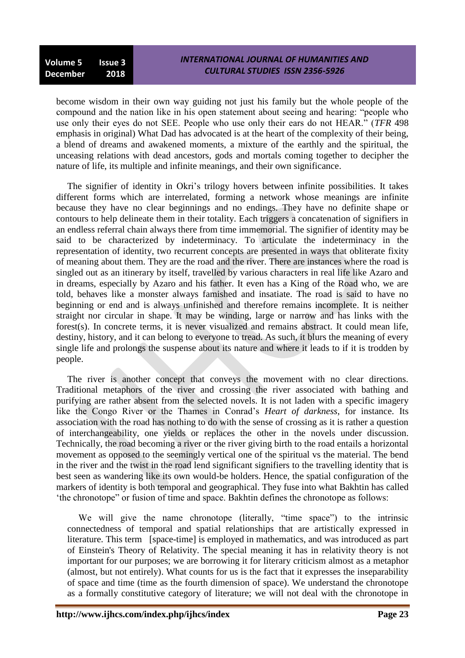become wisdom in their own way guiding not just his family but the whole people of the compound and the nation like in his open statement about seeing and hearing: "people who use only their eyes do not SEE. People who use only their ears do not HEAR." (*TFR* 498 emphasis in original) What Dad has advocated is at the heart of the complexity of their being, a blend of dreams and awakened moments, a mixture of the earthly and the spiritual, the unceasing relations with dead ancestors, gods and mortals coming together to decipher the nature of life, its multiple and infinite meanings, and their own significance.

The signifier of identity in Okri"s trilogy hovers between infinite possibilities. It takes different forms which are interrelated, forming a network whose meanings are infinite because they have no clear beginnings and no endings. They have no definite shape or contours to help delineate them in their totality. Each triggers a concatenation of signifiers in an endless referral chain always there from time immemorial. The signifier of identity may be said to be characterized by indeterminacy. To articulate the indeterminacy in the representation of identity, two recurrent concepts are presented in ways that obliterate fixity of meaning about them. They are the road and the river. There are instances where the road is singled out as an itinerary by itself, travelled by various characters in real life like Azaro and in dreams, especially by Azaro and his father. It even has a King of the Road who, we are told, behaves like a monster always famished and insatiate. The road is said to have no beginning or end and is always unfinished and therefore remains incomplete. It is neither straight nor circular in shape. It may be winding, large or narrow and has links with the forest(s). In concrete terms, it is never visualized and remains abstract. It could mean life, destiny, history, and it can belong to everyone to tread. As such, it blurs the meaning of every single life and prolongs the suspense about its nature and where it leads to if it is trodden by people.

The river is another concept that conveys the movement with no clear directions. Traditional metaphors of the river and crossing the river associated with bathing and purifying are rather absent from the selected novels. It is not laden with a specific imagery like the Congo River or the Thames in Conrad"s *Heart of darkness*, for instance. Its association with the road has nothing to do with the sense of crossing as it is rather a question of interchangeability, one yields or replaces the other in the novels under discussion. Technically, the road becoming a river or the river giving birth to the road entails a horizontal movement as opposed to the seemingly vertical one of the spiritual vs the material. The bend in the river and the twist in the road lend significant signifiers to the travelling identity that is best seen as wandering like its own would-be holders. Hence, the spatial configuration of the markers of identity is both temporal and geographical. They fuse into what Bakhtin has called "the chronotope" or fusion of time and space. Bakhtin defines the chronotope as follows:

We will give the name chronotope (literally, "time space") to the intrinsic connectedness of temporal and spatial relationships that are artistically expressed in literature. This term [space-time] is employed in mathematics, and was introduced as part of Einstein's Theory of Relativity. The special meaning it has in relativity theory is not important for our purposes; we are borrowing it for literary criticism almost as a metaphor (almost, but not entirely). What counts for us is the fact that it expresses the inseparability of space and time (time as the fourth dimension of space). We understand the chronotope as a formally constitutive category of literature; we will not deal with the chronotope in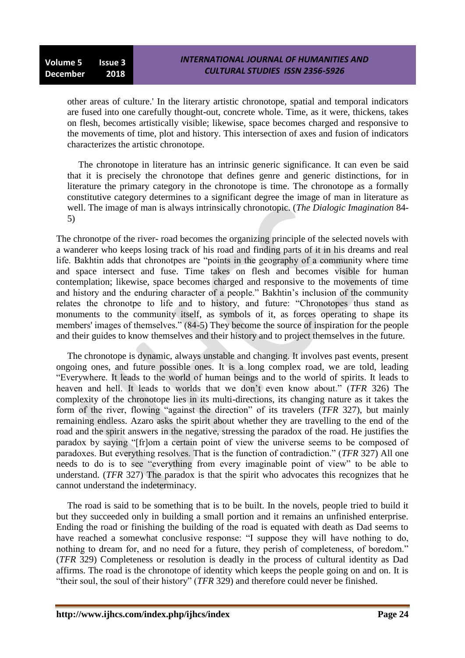other areas of culture.' In the literary artistic chronotope, spatial and temporal indicators are fused into one carefully thought-out, concrete whole. Time, as it were, thickens, takes on flesh, becomes artistically visible; likewise, space becomes charged and responsive to the movements of time, plot and history. This intersection of axes and fusion of indicators characterizes the artistic chronotope.

The chronotope in literature has an intrinsic generic significance. It can even be said that it is precisely the chronotope that defines genre and generic distinctions, for in literature the primary category in the chronotope is time. The chronotope as a formally constitutive category determines to a significant degree the image of man in literature as well. The image of man is always intrinsically chronotopic. (*The Dialogic Imagination* 84- 5)

The chronotpe of the river- road becomes the organizing principle of the selected novels with a wanderer who keeps losing track of his road and finding parts of it in his dreams and real life. Bakhtin adds that chronotpes are "points in the geography of a community where time and space intersect and fuse. Time takes on flesh and becomes visible for human contemplation; likewise, space becomes charged and responsive to the movements of time and history and the enduring character of a people." Bakhtin's inclusion of the community relates the chronotpe to life and to history, and future: "Chronotopes thus stand as monuments to the community itself, as symbols of it, as forces operating to shape its members' images of themselves." (84-5) They become the source of inspiration for the people and their guides to know themselves and their history and to project themselves in the future.

The chronotope is dynamic, always unstable and changing. It involves past events, present ongoing ones, and future possible ones. It is a long complex road, we are told, leading "Everywhere. It leads to the world of human beings and to the world of spirits. It leads to heaven and hell. It leads to worlds that we don"t even know about." (*TFR* 326) The complexity of the chronotope lies in its multi-directions, its changing nature as it takes the form of the river, flowing "against the direction" of its travelers (*TFR* 327), but mainly remaining endless. Azaro asks the spirit about whether they are travelling to the end of the road and the spirit answers in the negative, stressing the paradox of the road. He justifies the paradox by saying "[fr]om a certain point of view the universe seems to be composed of paradoxes. But everything resolves. That is the function of contradiction." (*TFR* 327) All one needs to do is to see "everything from every imaginable point of view" to be able to understand. (*TFR* 327) The paradox is that the spirit who advocates this recognizes that he cannot understand the indeterminacy.

The road is said to be something that is to be built. In the novels, people tried to build it but they succeeded only in building a small portion and it remains an unfinished enterprise. Ending the road or finishing the building of the road is equated with death as Dad seems to have reached a somewhat conclusive response: "I suppose they will have nothing to do, nothing to dream for, and no need for a future, they perish of completeness, of boredom." (*TFR* 329) Completeness or resolution is deadly in the process of cultural identity as Dad affirms. The road is the chronotope of identity which keeps the people going on and on. It is "their soul, the soul of their history" (*TFR* 329) and therefore could never be finished.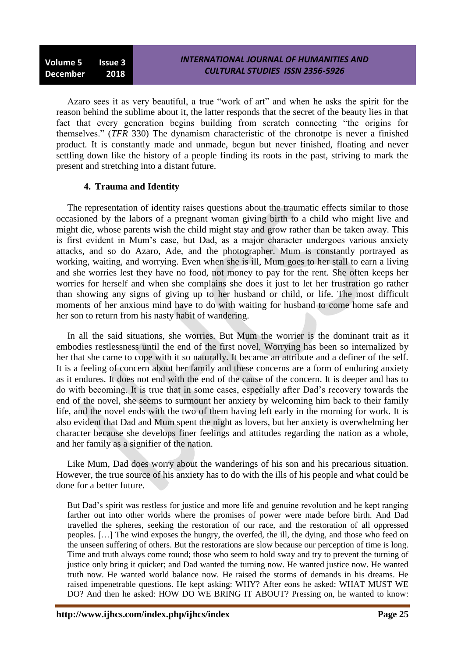Azaro sees it as very beautiful, a true "work of art" and when he asks the spirit for the reason behind the sublime about it, the latter responds that the secret of the beauty lies in that fact that every generation begins building from scratch connecting "the origins for themselves." (*TFR* 330) The dynamism characteristic of the chronotpe is never a finished product. It is constantly made and unmade, begun but never finished, floating and never settling down like the history of a people finding its roots in the past, striving to mark the present and stretching into a distant future.

## **4. Trauma and Identity**

The representation of identity raises questions about the traumatic effects similar to those occasioned by the labors of a pregnant woman giving birth to a child who might live and might die, whose parents wish the child might stay and grow rather than be taken away. This is first evident in Mum"s case, but Dad, as a major character undergoes various anxiety attacks, and so do Azaro, Ade, and the photographer. Mum is constantly portrayed as working, waiting, and worrying. Even when she is ill, Mum goes to her stall to earn a living and she worries lest they have no food, not money to pay for the rent. She often keeps her worries for herself and when she complains she does it just to let her frustration go rather than showing any signs of giving up to her husband or child, or life. The most difficult moments of her anxious mind have to do with waiting for husband to come home safe and her son to return from his nasty habit of wandering.

In all the said situations, she worries. But Mum the worrier is the dominant trait as it embodies restlessness until the end of the first novel. Worrying has been so internalized by her that she came to cope with it so naturally. It became an attribute and a definer of the self. It is a feeling of concern about her family and these concerns are a form of enduring anxiety as it endures. It does not end with the end of the cause of the concern. It is deeper and has to do with becoming. It is true that in some cases, especially after Dad"s recovery towards the end of the novel, she seems to surmount her anxiety by welcoming him back to their family life, and the novel ends with the two of them having left early in the morning for work. It is also evident that Dad and Mum spent the night as lovers, but her anxiety is overwhelming her character because she develops finer feelings and attitudes regarding the nation as a whole, and her family as a signifier of the nation.

Like Mum, Dad does worry about the wanderings of his son and his precarious situation. However, the true source of his anxiety has to do with the ills of his people and what could be done for a better future.

But Dad's spirit was restless for justice and more life and genuine revolution and he kept ranging farther out into other worlds where the promises of power were made before birth. And Dad travelled the spheres, seeking the restoration of our race, and the restoration of all oppressed peoples. […] The wind exposes the hungry, the overfed, the ill, the dying, and those who feed on the unseen suffering of others. But the restorations are slow because our perception of time is long. Time and truth always come round; those who seem to hold sway and try to prevent the turning of justice only bring it quicker; and Dad wanted the turning now. He wanted justice now. He wanted truth now. He wanted world balance now. He raised the storms of demands in his dreams. He raised impenetrable questions. He kept asking: WHY? After eons he asked: WHAT MUST WE DO? And then he asked: HOW DO WE BRING IT ABOUT? Pressing on, he wanted to know: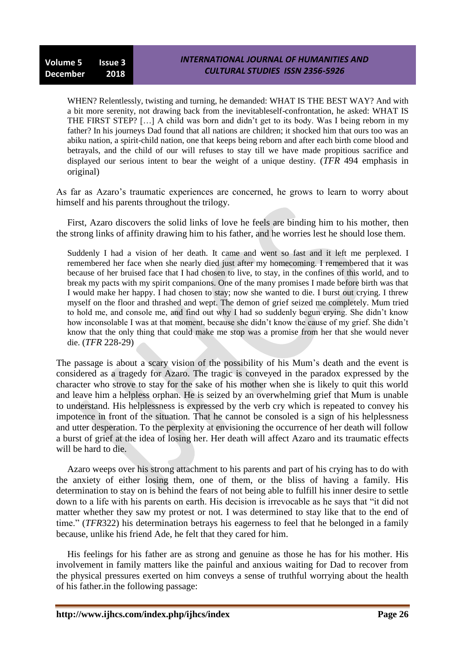WHEN? Relentlessly, twisting and turning, he demanded: WHAT IS THE BEST WAY? And with a bit more serenity, not drawing back from the inevitableself-confrontation, he asked: WHAT IS THE FIRST STEP? […] A child was born and didn"t get to its body. Was I being reborn in my father? In his journeys Dad found that all nations are children; it shocked him that ours too was an abiku nation, a spirit-child nation, one that keeps being reborn and after each birth come blood and betrayals, and the child of our will refuses to stay till we have made propitious sacrifice and displayed our serious intent to bear the weight of a unique destiny. (*TFR* 494 emphasis in original)

As far as Azaro"s traumatic experiences are concerned, he grows to learn to worry about himself and his parents throughout the trilogy.

First, Azaro discovers the solid links of love he feels are binding him to his mother, then the strong links of affinity drawing him to his father, and he worries lest he should lose them.

Suddenly I had a vision of her death. It came and went so fast and it left me perplexed. I remembered her face when she nearly died just after my homecoming. I remembered that it was because of her bruised face that I had chosen to live, to stay, in the confines of this world, and to break my pacts with my spirit companions. One of the many promises I made before birth was that I would make her happy. I had chosen to stay; now she wanted to die. I burst out crying. I threw myself on the floor and thrashed and wept. The demon of grief seized me completely. Mum tried to hold me, and console me, and find out why I had so suddenly begun crying. She didn"t know how inconsolable I was at that moment, because she didn"t know the cause of my grief. She didn"t know that the only thing that could make me stop was a promise from her that she would never die. (*TFR* 228-29)

The passage is about a scary vision of the possibility of his Mum"s death and the event is considered as a tragedy for Azaro. The tragic is conveyed in the paradox expressed by the character who strove to stay for the sake of his mother when she is likely to quit this world and leave him a helpless orphan. He is seized by an overwhelming grief that Mum is unable to understand. His helplessness is expressed by the verb cry which is repeated to convey his impotence in front of the situation. That he cannot be consoled is a sign of his helplessness and utter desperation. To the perplexity at envisioning the occurrence of her death will follow a burst of grief at the idea of losing her. Her death will affect Azaro and its traumatic effects will be hard to die.

Azaro weeps over his strong attachment to his parents and part of his crying has to do with the anxiety of either losing them, one of them, or the bliss of having a family. His determination to stay on is behind the fears of not being able to fulfill his inner desire to settle down to a life with his parents on earth. His decision is irrevocable as he says that "it did not matter whether they saw my protest or not. I was determined to stay like that to the end of time." (*TFR*322) his determination betrays his eagerness to feel that he belonged in a family because, unlike his friend Ade, he felt that they cared for him.

His feelings for his father are as strong and genuine as those he has for his mother. His involvement in family matters like the painful and anxious waiting for Dad to recover from the physical pressures exerted on him conveys a sense of truthful worrying about the health of his father.in the following passage: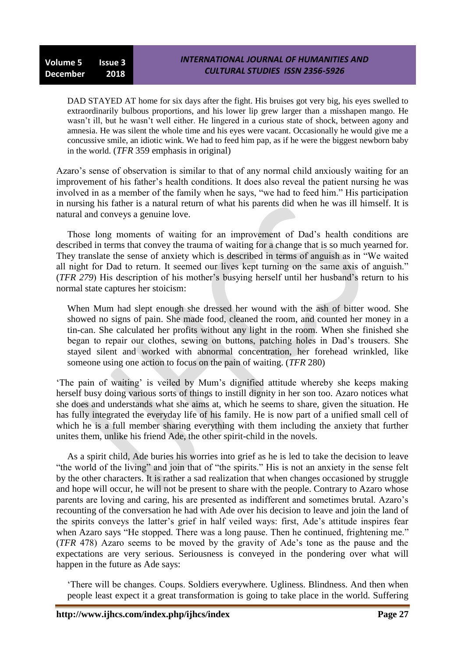DAD STAYED AT home for six days after the fight. His bruises got very big, his eyes swelled to extraordinarily bulbous proportions, and his lower lip grew larger than a misshapen mango. He wasn"t ill, but he wasn"t well either. He lingered in a curious state of shock, between agony and amnesia. He was silent the whole time and his eyes were vacant. Occasionally he would give me a concussive smile, an idiotic wink. We had to feed him pap, as if he were the biggest newborn baby in the world. (*TFR* 359 emphasis in original)

Azaro"s sense of observation is similar to that of any normal child anxiously waiting for an improvement of his father"s health conditions. It does also reveal the patient nursing he was involved in as a member of the family when he says, "we had to feed him." His participation in nursing his father is a natural return of what his parents did when he was ill himself. It is natural and conveys a genuine love.

Those long moments of waiting for an improvement of Dad"s health conditions are described in terms that convey the trauma of waiting for a change that is so much yearned for. They translate the sense of anxiety which is described in terms of anguish as in "We waited all night for Dad to return. It seemed our lives kept turning on the same axis of anguish." (*TFR 279*) His description of his mother"s busying herself until her husband"s return to his normal state captures her stoicism:

When Mum had slept enough she dressed her wound with the ash of bitter wood. She showed no signs of pain. She made food, cleaned the room, and counted her money in a tin-can. She calculated her profits without any light in the room. When she finished she began to repair our clothes, sewing on buttons, patching holes in Dad"s trousers. She stayed silent and worked with abnormal concentration, her forehead wrinkled, like someone using one action to focus on the pain of waiting. (*TFR* 280)

"The pain of waiting" is veiled by Mum"s dignified attitude whereby she keeps making herself busy doing various sorts of things to instill dignity in her son too. Azaro notices what she does and understands what she aims at, which he seems to share, given the situation. He has fully integrated the everyday life of his family. He is now part of a unified small cell of which he is a full member sharing everything with them including the anxiety that further unites them, unlike his friend Ade, the other spirit-child in the novels.

As a spirit child, Ade buries his worries into grief as he is led to take the decision to leave "the world of the living" and join that of "the spirits." His is not an anxiety in the sense felt by the other characters. It is rather a sad realization that when changes occasioned by struggle and hope will occur, he will not be present to share with the people. Contrary to Azaro whose parents are loving and caring, his are presented as indifferent and sometimes brutal. Azaro's recounting of the conversation he had with Ade over his decision to leave and join the land of the spirits conveys the latter"s grief in half veiled ways: first, Ade"s attitude inspires fear when Azaro says "He stopped. There was a long pause. Then he continued, frightening me." (*TFR* 478) Azaro seems to be moved by the gravity of Ade"s tone as the pause and the expectations are very serious. Seriousness is conveyed in the pondering over what will happen in the future as Ade says:

"There will be changes. Coups. Soldiers everywhere. Ugliness. Blindness. And then when people least expect it a great transformation is going to take place in the world. Suffering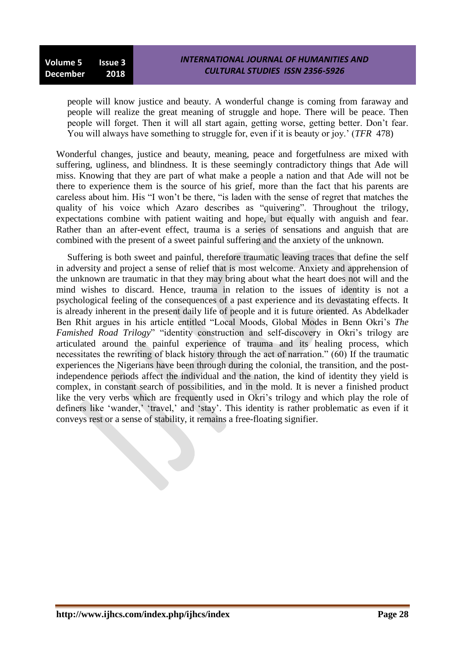people will know justice and beauty. A wonderful change is coming from faraway and people will realize the great meaning of struggle and hope. There will be peace. Then people will forget. Then it will all start again, getting worse, getting better. Don"t fear. You will always have something to struggle for, even if it is beauty or joy." (*TFR* 478)

Wonderful changes, justice and beauty, meaning, peace and forgetfulness are mixed with suffering, ugliness, and blindness. It is these seemingly contradictory things that Ade will miss. Knowing that they are part of what make a people a nation and that Ade will not be there to experience them is the source of his grief, more than the fact that his parents are careless about him. His "I won"t be there, "is laden with the sense of regret that matches the quality of his voice which Azaro describes as "quivering". Throughout the trilogy, expectations combine with patient waiting and hope, but equally with anguish and fear. Rather than an after-event effect, trauma is a series of sensations and anguish that are combined with the present of a sweet painful suffering and the anxiety of the unknown.

Suffering is both sweet and painful, therefore traumatic leaving traces that define the self in adversity and project a sense of relief that is most welcome. Anxiety and apprehension of the unknown are traumatic in that they may bring about what the heart does not will and the mind wishes to discard. Hence, trauma in relation to the issues of identity is not a psychological feeling of the consequences of a past experience and its devastating effects. It is already inherent in the present daily life of people and it is future oriented. As Abdelkader Ben Rhit argues in his article entitled "Local Moods, Global Modes in Benn Okri's *The Famished Road Trilogy*" "identity construction and self-discovery in Okri's trilogy are articulated around the painful experience of trauma and its healing process, which necessitates the rewriting of black history through the act of narration." (60) If the traumatic experiences the Nigerians have been through during the colonial, the transition, and the postindependence periods affect the individual and the nation, the kind of identity they yield is complex, in constant search of possibilities, and in the mold. It is never a finished product like the very verbs which are frequently used in Okri's trilogy and which play the role of definers like 'wander,' 'travel,' and 'stay'. This identity is rather problematic as even if it conveys rest or a sense of stability, it remains a free-floating signifier.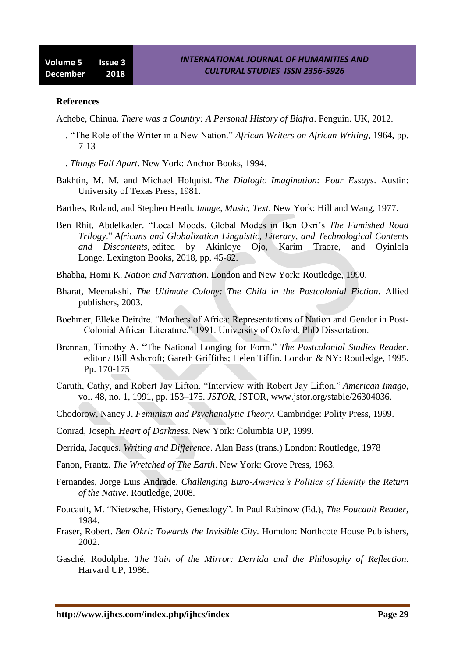#### **References**

Achebe, Chinua. *There was a Country: A Personal History of Biafra*. Penguin. UK, 2012.

- ---. "The Role of the Writer in a New Nation." *African Writers on African Writing*, 1964, pp. 7-13
- ---. *Things Fall Apart*. New York: Anchor Books, 1994.
- Bakhtin, M. M. and Michael Holquist. *The Dialogic Imagination: Four Essays*. Austin: University of Texas Press, 1981.
- Barthes, Roland, and Stephen Heath. *Image, Music, Text*. New York: Hill and Wang, 1977.
- Ben Rhit, Abdelkader. "Local Moods, Global Modes in Ben Okri"s *The Famished Road Trilogy*." *Africans and Globalization Linguistic, Literary, and Technological Contents and Discontents,* edited by Akinloye Ojo, Karim Traore, and Oyinlola Longe. Lexington Books, 2018, pp. 45-62.
- Bhabha, Homi K. *Nation and Narration*. London and New York: Routledge, 1990.
- Bharat, Meenakshi. *The Ultimate Colony: The Child in the Postcolonial Fiction*. Allied publishers, 2003.
- Boehmer, Elleke Deirdre. "Mothers of Africa: Representations of Nation and Gender in Post-Colonial African Literature." 1991. University of Oxford, PhD Dissertation.
- Brennan, Timothy A. "The National Longing for Form." *The Postcolonial Studies Reader*. editor / Bill Ashcroft; Gareth Griffiths; Helen Tiffin. London & NY: Routledge, 1995. Pp. 170-175
- Caruth, Cathy, and Robert Jay Lifton. "Interview with Robert Jay Lifton." *American Imago*, vol. 48, no. 1, 1991, pp. 153–175. *JSTOR*, JSTOR, www.jstor.org/stable/26304036.
- Chodorow, Nancy J. *Feminism and Psychanalytic Theory*. Cambridge: Polity Press, 1999.
- Conrad, Joseph*. Heart of Darkness*. New York: Columbia UP, 1999.
- Derrida, Jacques. *Writing and Difference*. Alan Bass (trans.) London: Routledge, 1978
- Fanon, Frantz. *The Wretched of The Earth*. New York: Grove Press, 1963.
- Fernandes, Jorge Luis Andrade. *Challenging Euro-America's Politics of Identity the Return of the Native*. Routledge, 2008.
- Foucault, M. "Nietzsche, History, Genealogy". In Paul Rabinow (Ed.), *The Foucault Reader,*  1984.
- Fraser, Robert. *Ben Okri: Towards the Invisible City*. Homdon: Northcote House Publishers, 2002.
- Gasché, Rodolphe. *The Tain of the Mirror: Derrida and the Philosophy of Reflection*. Harvard UP, 1986.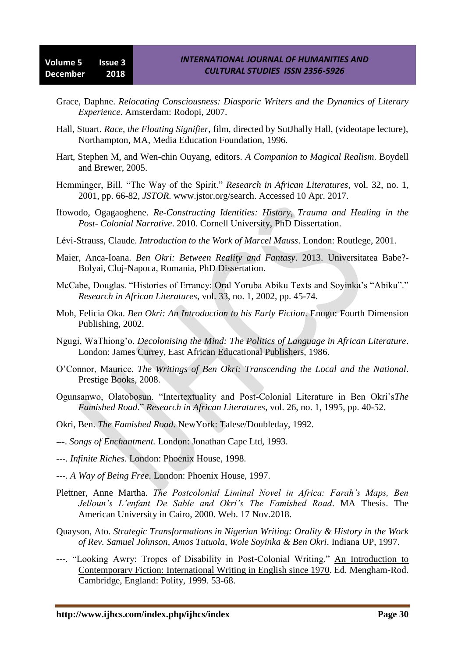- Grace, Daphne. *Relocating Consciousness: Diasporic Writers and the Dynamics of Literary Experience*. Amsterdam: Rodopi, 2007.
- Hall, Stuart. *Race, the Floating Signifier*, film, directed by SutJhally Hall, (videotape lecture), Northampton, MA, Media Education Foundation, 1996.
- Hart, Stephen M, and Wen-chin Ouyang, editors. *A Companion to Magical Realism*. Boydell and Brewer, 2005.
- Hemminger, Bill. "The Way of the Spirit." *Research in African Literatures*, vol. 32, no. 1, 2001, pp. 66-82, *JSTOR*. www.jstor.org/search. Accessed 10 Apr. 2017.
- Ifowodo, Ogagaoghene. *Re-Constructing Identities: History, Trauma and Healing in the Post- Colonial Narrative*. 2010. Cornell University, PhD Dissertation.
- Lévi-Strauss, Claude. *Introduction to the Work of Marcel Mauss*. London: Routlege, 2001.
- Maier, Anca-Ioana. *Ben Okri: Between Reality and Fantasy*. 2013. Universitatea Babe?- Bolyai, Cluj-Napoca, Romania, PhD Dissertation.
- McCabe, Douglas. "Histories of Errancy: Oral Yoruba Abiku Texts and Soyinka"s "Abiku"." *Research in African Literatures*, vol. 33, no. 1, 2002, pp. 45-74.
- Moh, Felicia Oka. *Ben Okri: An Introduction to his Early Fiction*. Enugu: Fourth Dimension Publishing, 2002.
- Ngugi, WaThiong"o. *Decolonising the Mind: The Politics of Language in African Literature*. London: James Currey, East African Educational Publishers, 1986.
- O"Connor, Maurice. *The Writings of Ben Okri: Transcending the Local and the National*. Prestige Books, 2008.
- Ogunsanwo, Olatobosun. "Intertextuality and Post-Colonial Literature in Ben Okri"s*The Famished Road*." *Research in African Literatures*, vol. 26, no. 1, 1995, pp. 40-52.
- Okri, Ben. *The Famished Road*. NewYork: Talese/Doubleday, 1992.
- ---. *Songs of Enchantment.* London: Jonathan Cape Ltd, 1993.
- ---. *Infinite Riches*. London: Phoenix House, 1998.
- ---*. A Way of Being Free*. London: Phoenix House, 1997.
- Plettner, Anne Martha. *The Postcolonial Liminal Novel in Africa: Farah's Maps, Ben Jelloun's L'enfant De Sable and Okri's The Famished Road*. MA Thesis. The American University in Cairo, 2000. Web. 17 Nov.2018.
- Quayson, Ato. *Strategic Transformations in Nigerian Writing: Orality & History in the Work of Rev. Samuel Johnson, Amos Tutuola, Wole Soyinka & Ben Okri*. Indiana UP, 1997.
- ---. "Looking Awry: Tropes of Disability in Post-Colonial Writing." An Introduction to Contemporary Fiction: International Writing in English since 1970. Ed. Mengham-Rod. Cambridge, England: Polity, 1999. 53-68.